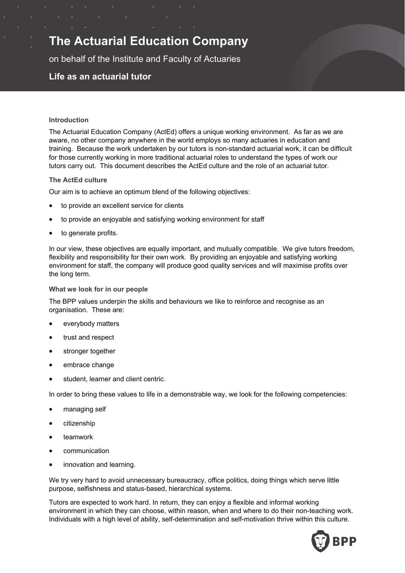# **The Actuarial Education Company**

on behalf of the Institute and Faculty of Actuaries

# **Life as an actuarial tutor**

#### **Introduction**

The Actuarial Education Company (ActEd) offers a unique working environment. As far as we are aware, no other company anywhere in the world employs so many actuaries in education and training. Because the work undertaken by our tutors is non-standard actuarial work, it can be difficult for those currently working in more traditional actuarial roles to understand the types of work our tutors carry out. This document describes the ActEd culture and the role of an actuarial tutor.

#### **The ActEd culture**

Our aim is to achieve an optimum blend of the following objectives:

- to provide an excellent service for clients
- to provide an enjoyable and satisfying working environment for staff
- to generate profits.

In our view, these objectives are equally important, and mutually compatible. We give tutors freedom, flexibility and responsibility for their own work. By providing an enjoyable and satisfying working environment for staff, the company will produce good quality services and will maximise profits over the long term.

#### **What we look for in our people**

The BPP values underpin the skills and behaviours we like to reinforce and recognise as an organisation. These are:

- everybody matters
- trust and respect
- stronger together
- embrace change
- student, learner and client centric.

In order to bring these values to life in a demonstrable way, we look for the following competencies:

- managing self
- **•** citizenship
- teamwork
- communication
- innovation and learning.

We try very hard to avoid unnecessary bureaucracy, office politics, doing things which serve little purpose, selfishness and status-based, hierarchical systems.

Tutors are expected to work hard. In return, they can enjoy a flexible and informal working environment in which they can choose, within reason, when and where to do their non-teaching work. Individuals with a high level of ability, self-determination and self-motivation thrive within this culture.

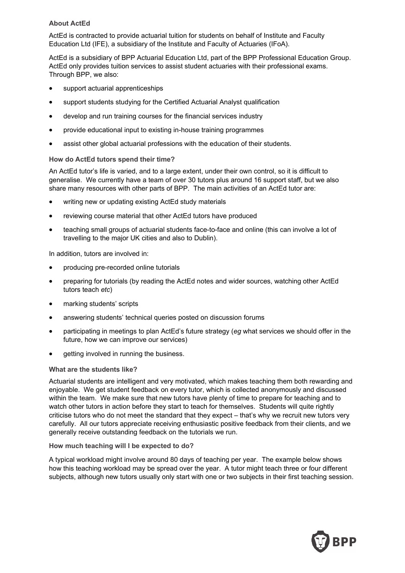#### **About ActEd**

ActEd is contracted to provide actuarial tuition for students on behalf of Institute and Faculty Education Ltd (IFE), a subsidiary of the Institute and Faculty of Actuaries (IFoA).

ActEd is a subsidiary of BPP Actuarial Education Ltd, part of the BPP Professional Education Group. ActEd only provides tuition services to assist student actuaries with their professional exams. Through BPP, we also:

- support actuarial apprenticeships
- support students studying for the Certified Actuarial Analyst qualification
- develop and run training courses for the financial services industry
- provide educational input to existing in-house training programmes
- assist other global actuarial professions with the education of their students.

### **How do ActEd tutors spend their time?**

An ActEd tutor's life is varied, and to a large extent, under their own control, so it is difficult to generalise. We currently have a team of over 30 tutors plus around 16 support staff, but we also share many resources with other parts of BPP. The main activities of an ActEd tutor are:

- writing new or updating existing ActEd study materials
- reviewing course material that other ActEd tutors have produced
- teaching small groups of actuarial students face-to-face and online (this can involve a lot of travelling to the major UK cities and also to Dublin).

In addition, tutors are involved in:

- producing pre-recorded online tutorials
- preparing for tutorials (by reading the ActEd notes and wider sources, watching other ActEd tutors teach *etc*)
- marking students' scripts
- answering students' technical queries posted on discussion forums
- participating in meetings to plan ActEd's future strategy (*eg* what services we should offer in the future, how we can improve our services)
- getting involved in running the business.

#### **What are the students like?**

Actuarial students are intelligent and very motivated, which makes teaching them both rewarding and enjoyable. We get student feedback on every tutor, which is collected anonymously and discussed within the team. We make sure that new tutors have plenty of time to prepare for teaching and to watch other tutors in action before they start to teach for themselves. Students will quite rightly criticise tutors who do not meet the standard that they expect – that's why we recruit new tutors very carefully. All our tutors appreciate receiving enthusiastic positive feedback from their clients, and we generally receive outstanding feedback on the tutorials we run.

#### **How much teaching will I be expected to do?**

A typical workload might involve around 80 days of teaching per year. The example below shows how this teaching workload may be spread over the year. A tutor might teach three or four different subjects, although new tutors usually only start with one or two subjects in their first teaching session.